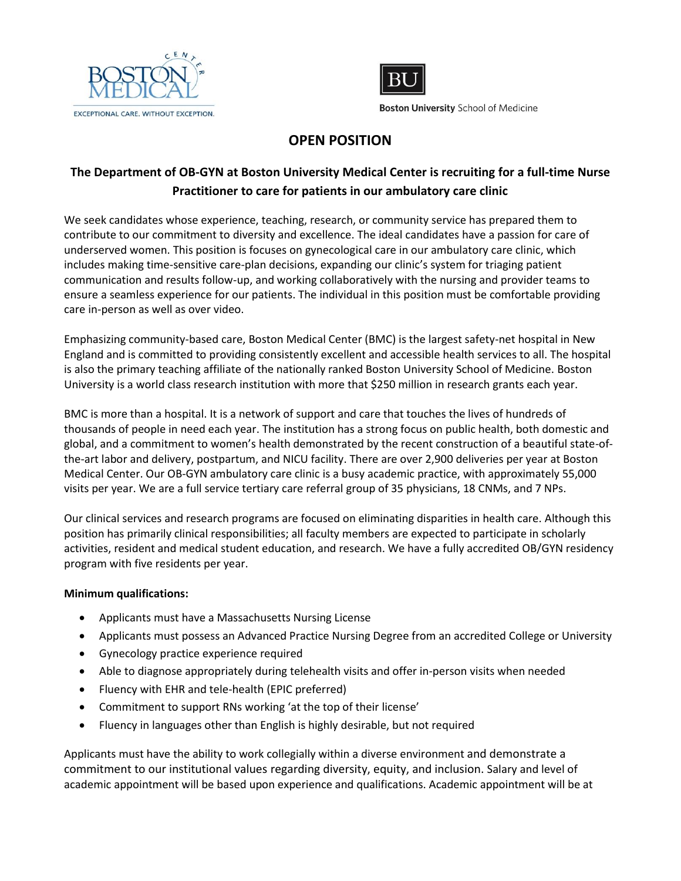



**Boston University School of Medicine** 

## **OPEN POSITION**

## **The Department of OB-GYN at Boston University Medical Center is recruiting for a full-time Nurse Practitioner to care for patients in our ambulatory care clinic**

We seek candidates whose experience, teaching, research, or community service has prepared them to contribute to our commitment to diversity and excellence. The ideal candidates have a passion for care of underserved women. This position is focuses on gynecological care in our ambulatory care clinic, which includes making time-sensitive care-plan decisions, expanding our clinic's system for triaging patient communication and results follow-up, and working collaboratively with the nursing and provider teams to ensure a seamless experience for our patients. The individual in this position must be comfortable providing care in-person as well as over video.

Emphasizing community-based care, Boston Medical Center (BMC) is the largest safety-net hospital in New England and is committed to providing consistently excellent and accessible health services to all. The hospital is also the primary teaching affiliate of the nationally ranked Boston University School of Medicine. Boston University is a world class research institution with more that \$250 million in research grants each year.

BMC is more than a hospital. It is a network of support and care that touches the lives of hundreds of thousands of people in need each year. The institution has a strong focus on public health, both domestic and global, and a commitment to women's health demonstrated by the recent construction of a beautiful state-ofthe-art labor and delivery, postpartum, and NICU facility. There are over 2,900 deliveries per year at Boston Medical Center. Our OB-GYN ambulatory care clinic is a busy academic practice, with approximately 55,000 visits per year. We are a full service tertiary care referral group of 35 physicians, 18 CNMs, and 7 NPs.

Our clinical services and research programs are focused on eliminating disparities in health care. Although this position has primarily clinical responsibilities; all faculty members are expected to participate in scholarly activities, resident and medical student education, and research. We have a fully accredited OB/GYN residency program with five residents per year.

## **Minimum qualifications:**

- Applicants must have a Massachusetts Nursing License
- Applicants must possess an Advanced Practice Nursing Degree from an accredited College or University
- Gynecology practice experience required
- Able to diagnose appropriately during telehealth visits and offer in-person visits when needed
- Fluency with EHR and tele-health (EPIC preferred)
- Commitment to support RNs working 'at the top of their license'
- Fluency in languages other than English is highly desirable, but not required

Applicants must have the ability to work collegially within a diverse environment and demonstrate a commitment to our institutional values regarding diversity, equity, and inclusion. Salary and level of academic appointment will be based upon experience and qualifications. Academic appointment will be at